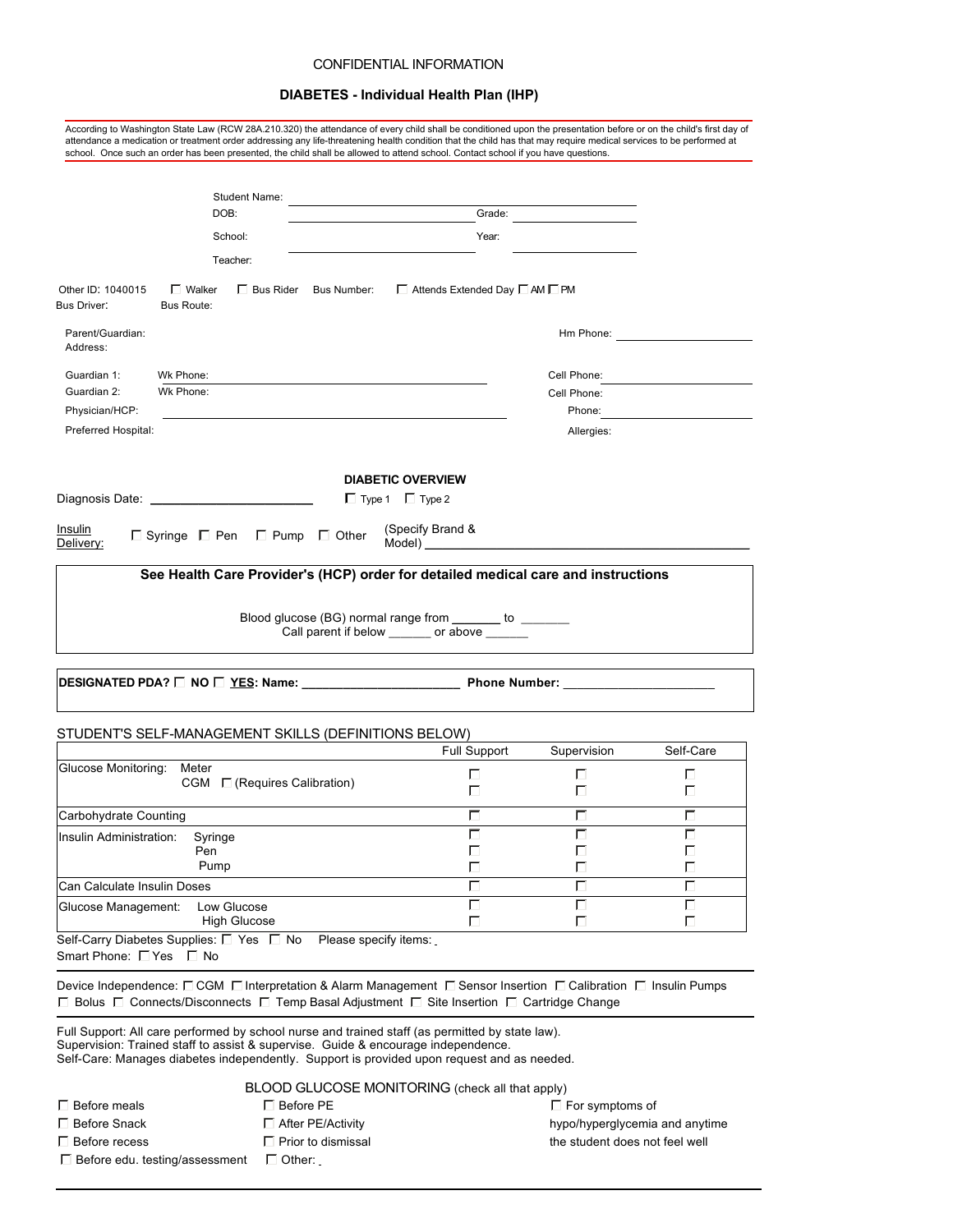#### CONFIDENTIAL INFORMATION

# **DIABETES - Individual Health Plan (IHP)**

| attendance a medication or treatment order addressing any life-threatening health condition that the child has that may require medical services to be performed at<br>school. Once such an order has been presented, the child shall be allowed to attend school. Contact school if you have questions.                                                                                        |                                                                                                        |             |                                                                                                                                                                                                                               |
|-------------------------------------------------------------------------------------------------------------------------------------------------------------------------------------------------------------------------------------------------------------------------------------------------------------------------------------------------------------------------------------------------|--------------------------------------------------------------------------------------------------------|-------------|-------------------------------------------------------------------------------------------------------------------------------------------------------------------------------------------------------------------------------|
| Student Name:                                                                                                                                                                                                                                                                                                                                                                                   |                                                                                                        |             |                                                                                                                                                                                                                               |
| DOB:                                                                                                                                                                                                                                                                                                                                                                                            | Grade:                                                                                                 |             |                                                                                                                                                                                                                               |
| School:                                                                                                                                                                                                                                                                                                                                                                                         | Year:                                                                                                  |             |                                                                                                                                                                                                                               |
| Teacher:                                                                                                                                                                                                                                                                                                                                                                                        |                                                                                                        |             |                                                                                                                                                                                                                               |
| $\Box$ Walker<br>$\Box$ Bus Rider<br>Other ID: 1040015<br>Bus Number:<br>Bus Driver:<br>Bus Route:                                                                                                                                                                                                                                                                                              | □ Attends Extended Day □ AM □ PM                                                                       |             |                                                                                                                                                                                                                               |
| Parent/Guardian:<br>Address:                                                                                                                                                                                                                                                                                                                                                                    |                                                                                                        |             | Hm Phone: The contract of the contract of the contract of the contract of the contract of the contract of the contract of the contract of the contract of the contract of the contract of the contract of the contract of the |
| Wk Phone:<br>Guardian 1:                                                                                                                                                                                                                                                                                                                                                                        |                                                                                                        | Cell Phone: |                                                                                                                                                                                                                               |
| Wk Phone:<br>Guardian 2:                                                                                                                                                                                                                                                                                                                                                                        |                                                                                                        | Cell Phone: |                                                                                                                                                                                                                               |
| Physician/HCP:                                                                                                                                                                                                                                                                                                                                                                                  |                                                                                                        | Phone:      |                                                                                                                                                                                                                               |
| Preferred Hospital:                                                                                                                                                                                                                                                                                                                                                                             |                                                                                                        | Allergies:  |                                                                                                                                                                                                                               |
|                                                                                                                                                                                                                                                                                                                                                                                                 | <b>DIABETIC OVERVIEW</b>                                                                               |             |                                                                                                                                                                                                                               |
|                                                                                                                                                                                                                                                                                                                                                                                                 | $\Box$ Type 1 $\Box$ Type 2                                                                            |             |                                                                                                                                                                                                                               |
| <u>Insulin</u><br>$\Box$ Syringe $\Box$ Pen $\Box$ Pump $\Box$ Other<br>Delivery:                                                                                                                                                                                                                                                                                                               | (Specify Brand &                                                                                       |             |                                                                                                                                                                                                                               |
|                                                                                                                                                                                                                                                                                                                                                                                                 | Blood glucose (BG) normal range from _______ to _______<br>Call parent if below ______ or above ______ |             |                                                                                                                                                                                                                               |
|                                                                                                                                                                                                                                                                                                                                                                                                 |                                                                                                        |             |                                                                                                                                                                                                                               |
| STUDENT'S SELF-MANAGEMENT SKILLS (DEFINITIONS BELOW)                                                                                                                                                                                                                                                                                                                                            |                                                                                                        |             |                                                                                                                                                                                                                               |
|                                                                                                                                                                                                                                                                                                                                                                                                 | <b>Full Support</b>                                                                                    | Supervision | Self-Care                                                                                                                                                                                                                     |
| Glucose Monitoring:<br>Meter<br>CGM $\Box$ (Requires Calibration)                                                                                                                                                                                                                                                                                                                               | п                                                                                                      | ш           |                                                                                                                                                                                                                               |
|                                                                                                                                                                                                                                                                                                                                                                                                 | г                                                                                                      |             | Е<br>г                                                                                                                                                                                                                        |
|                                                                                                                                                                                                                                                                                                                                                                                                 | п                                                                                                      | г<br>┍      | г                                                                                                                                                                                                                             |
|                                                                                                                                                                                                                                                                                                                                                                                                 | 口                                                                                                      |             | Е                                                                                                                                                                                                                             |
| Syringe<br>Pen                                                                                                                                                                                                                                                                                                                                                                                  | Е                                                                                                      |             | г                                                                                                                                                                                                                             |
| Pump                                                                                                                                                                                                                                                                                                                                                                                            | г                                                                                                      |             |                                                                                                                                                                                                                               |
|                                                                                                                                                                                                                                                                                                                                                                                                 |                                                                                                        |             |                                                                                                                                                                                                                               |
| Low Glucose<br>High Glucose                                                                                                                                                                                                                                                                                                                                                                     | г<br>匚                                                                                                 |             | г<br>匚                                                                                                                                                                                                                        |
|                                                                                                                                                                                                                                                                                                                                                                                                 | Please specify items:                                                                                  |             |                                                                                                                                                                                                                               |
| Carbohydrate Counting<br>Insulin Administration:<br>Can Calculate Insulin Doses<br>Glucose Management:<br>Self-Carry Diabetes Supplies: □ Yes □ No<br>Smart Phone: □ Yes □ No<br>Device Independence: ECGM Elnterpretation & Alarm Management El Sensor Insertion El Calibration El Insulin Pumps<br>□ Bolus □ Connects/Disconnects □ Temp Basal Adjustment □ Site Insertion □ Cartridge Change |                                                                                                        |             |                                                                                                                                                                                                                               |

Supervision: Trained staff to assist & supervise. Guide & encourage independence. Self-Care: Manages diabetes independently. Support is provided upon request and as needed.

|                                  | BLOOD GLUCOSE MONITORING (check all that apply) |     |
|----------------------------------|-------------------------------------------------|-----|
| $\Box$ Before meals              | $\Box$ Before PE                                | ⊓⊩  |
| $\Box$ Before Snack              | □ After PE/Activity                             | hyp |
| $\Box$ Before recess             | $\Box$ Prior to dismissal                       | the |
| □ Before edu. testing/assessment | $\Box$ Other:                                   |     |

 $\square$  For symptoms of hypo/hyperglycemia and anytime the student does not feel well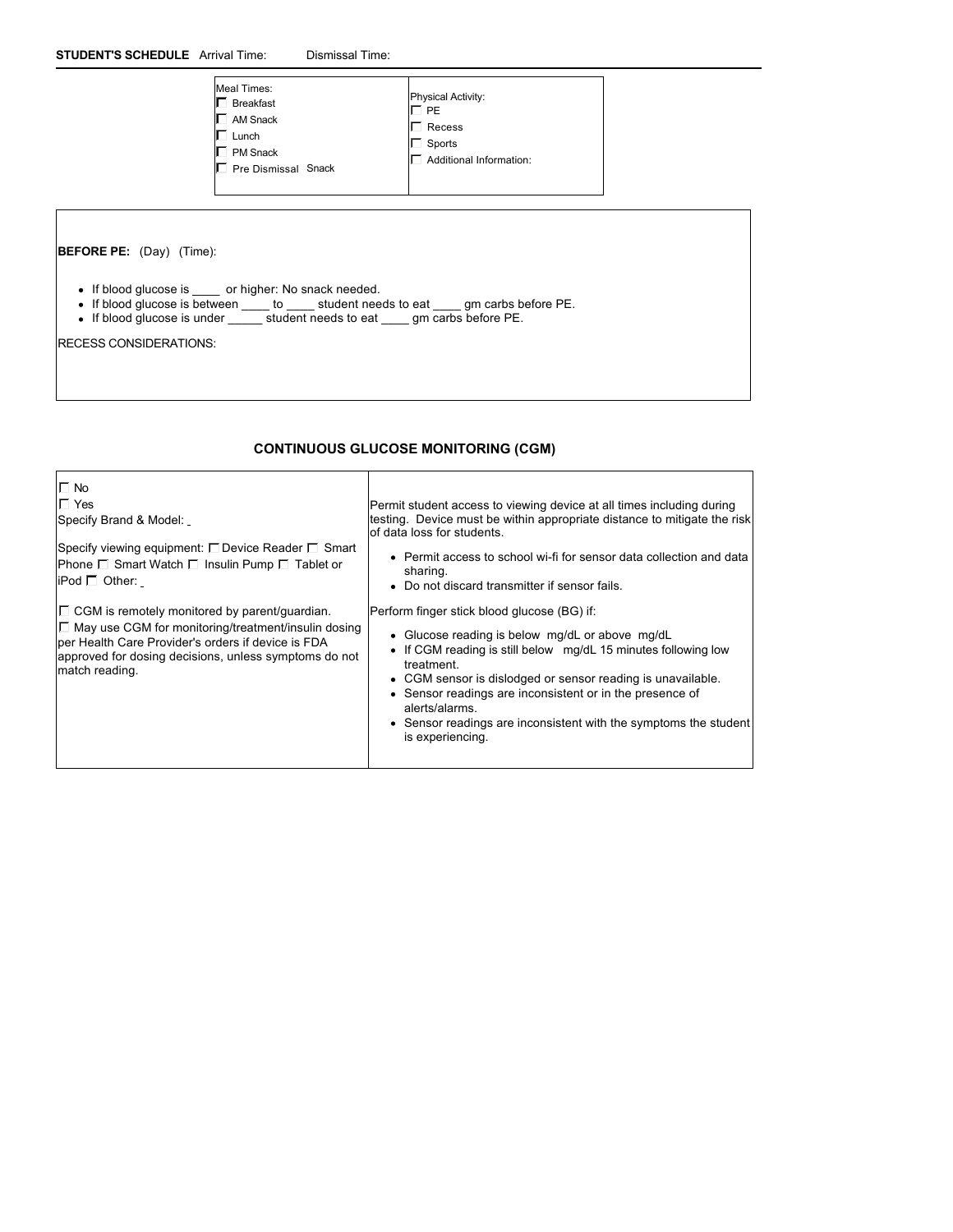| Meal Times:<br>Breakfast<br>AM Snack<br>Lunch<br>PM Snack<br>Pre Dismissal Snack | <b>Physical Activity:</b><br>T PE<br>Recess<br>Sports<br>Additional Information: |  |
|----------------------------------------------------------------------------------|----------------------------------------------------------------------------------|--|
|----------------------------------------------------------------------------------|----------------------------------------------------------------------------------|--|

**BEFORE PE:**  (Day) (Time):

- If blood glucose is \_\_\_\_ or higher: No snack needed.
- If blood glucose is between \_\_\_\_ to \_\_\_\_ student needs to eat \_\_\_\_ gm carbs before PE.
- If blood glucose is under \_\_\_\_\_ student needs to eat \_\_\_\_ gm carbs before PE.

RECESS CONSIDERATIONS:

# **CONTINUOUS GLUCOSE MONITORING (CGM)**

| $\Box$ No                                                                                                                                                                                   | Permit student access to viewing device at all times including during                                                                                                                                                                                                                                                                                                |
|---------------------------------------------------------------------------------------------------------------------------------------------------------------------------------------------|----------------------------------------------------------------------------------------------------------------------------------------------------------------------------------------------------------------------------------------------------------------------------------------------------------------------------------------------------------------------|
| $\Gamma$ Yes                                                                                                                                                                                | testing. Device must be within appropriate distance to mitigate the risk                                                                                                                                                                                                                                                                                             |
| Specify Brand & Model:                                                                                                                                                                      | of data loss for students.                                                                                                                                                                                                                                                                                                                                           |
| Specify viewing equipment: $\square$ Device Reader $\square$ Smart                                                                                                                          | • Permit access to school wi-fi for sensor data collection and data                                                                                                                                                                                                                                                                                                  |
| Phone $\Box$ Smart Watch $\Box$ Insulin Pump $\Box$ Tablet or                                                                                                                               | sharing.                                                                                                                                                                                                                                                                                                                                                             |
| iPod $\Box$ Other:                                                                                                                                                                          | • Do not discard transmitter if sensor fails.                                                                                                                                                                                                                                                                                                                        |
| $\Box$ CGM is remotely monitored by parent/guardian.                                                                                                                                        | Perform finger stick blood glucose (BG) if:                                                                                                                                                                                                                                                                                                                          |
| $\Box$ May use CGM for monitoring/treatment/insulin dosing<br>per Health Care Provider's orders if device is FDA<br>approved for dosing decisions, unless symptoms do not<br>match reading. | • Glucose reading is below mg/dL or above mg/dL<br>• If CGM reading is still below mg/dL 15 minutes following low<br>treatment.<br>• CGM sensor is dislodged or sensor reading is unavailable.<br>• Sensor readings are inconsistent or in the presence of<br>alerts/alarms.<br>• Sensor readings are inconsistent with the symptoms the student<br>is experiencing. |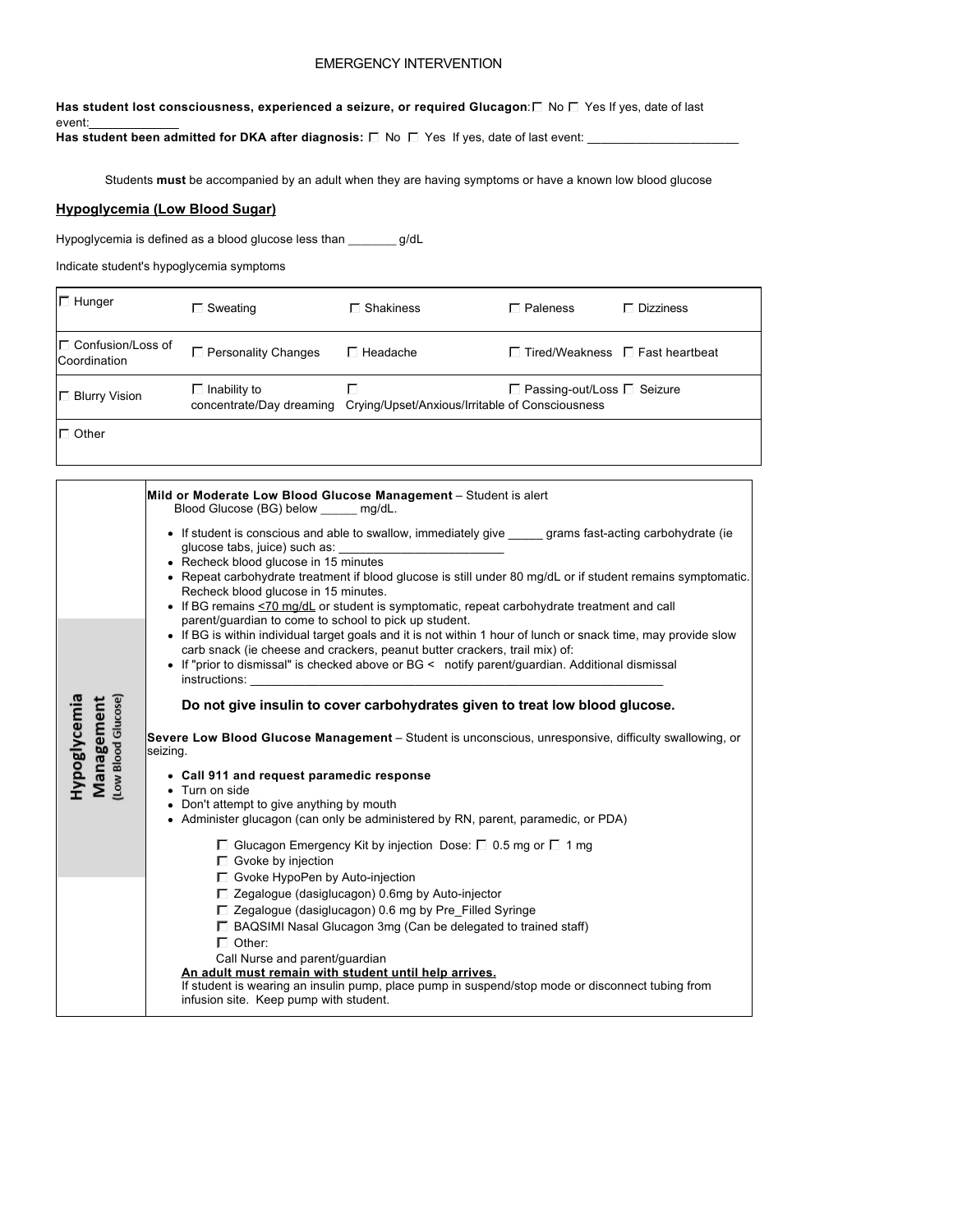# EMERGENCY INTERVENTION

Has student lost consciousness, experienced a seizure, or required Glucagon:□ No □ Yes If yes, date of last event:\_\_\_\_\_\_\_\_\_\_\_\_\_

Has student been admitted for DKA after diagnosis:  $\square$  No  $\square$  Yes If yes, date of last event:

Students **must** be accompanied by an adult when they are having symptoms or have a known low blood glucose

## **Hypoglycemia (Low Blood Sugar)**

Hypoglycemia is defined as a blood glucose less than \_\_\_\_\_\_\_\_ g/dL

Indicate student's hypoglycemia symptoms

| $\Box$ Hunger                            | $\Box$ Sweating            | $\sqcap$ Shakiness                                                                                                 | $\Box$ Paleness                             | $\Box$ Dizziness |
|------------------------------------------|----------------------------|--------------------------------------------------------------------------------------------------------------------|---------------------------------------------|------------------|
| $\Box$ Confusion/Loss of<br>Coordination | $\Box$ Personality Changes | Headache                                                                                                           | $\Box$ Tired/Weakness $\Box$ Fast heartbeat |                  |
| <b>□ Blurry Vision</b>                   | $\Box$ Inability to        | $\Box$ Passing-out/Loss $\Box$ Seizure<br>concentrate/Day dreaming Crying/Upset/Anxious/Irritable of Consciousness |                                             |                  |
| $\Gamma$ Other                           |                            |                                                                                                                    |                                             |                  |

|                                                   | Mild or Moderate Low Blood Glucose Management - Student is alert<br>Blood Glucose (BG) below mg/dL.                                                                                                                                                                                                                                                                                                                                                                                                                                                                                                                                                                                                                                                                                                             |
|---------------------------------------------------|-----------------------------------------------------------------------------------------------------------------------------------------------------------------------------------------------------------------------------------------------------------------------------------------------------------------------------------------------------------------------------------------------------------------------------------------------------------------------------------------------------------------------------------------------------------------------------------------------------------------------------------------------------------------------------------------------------------------------------------------------------------------------------------------------------------------|
|                                                   | • If student is conscious and able to swallow, immediately give grams fast-acting carbohydrate (ie<br>glucose tabs, juice) such as:<br>• Recheck blood glucose in 15 minutes<br>• Repeat carbohydrate treatment if blood glucose is still under 80 mg/dL or if student remains symptomatic.<br>Recheck blood glucose in 15 minutes.<br>• If BG remains <70 mg/dL or student is symptomatic, repeat carbohydrate treatment and call<br>parent/guardian to come to school to pick up student.<br>• If BG is within individual target goals and it is not within 1 hour of lunch or snack time, may provide slow<br>carb snack (ie cheese and crackers, peanut butter crackers, trail mix) of:<br>• If "prior to dismissal" is checked above or BG < notify parent/guardian. Additional dismissal<br>instructions: |
| (Low Blood Glucose)<br>Hypoglycemia<br>Management | Do not give insulin to cover carbohydrates given to treat low blood glucose.<br>Severe Low Blood Glucose Management – Student is unconscious, unresponsive, difficulty swallowing, or<br>seizing.                                                                                                                                                                                                                                                                                                                                                                                                                                                                                                                                                                                                               |
|                                                   | • Call 911 and request paramedic response<br>Turn on side<br>• Don't attempt to give anything by mouth<br>• Administer glucagon (can only be administered by RN, parent, paramedic, or PDA)                                                                                                                                                                                                                                                                                                                                                                                                                                                                                                                                                                                                                     |
|                                                   | □ Glucagon Emergency Kit by injection Dose: □ 0.5 mg or □ 1 mg<br>□ Gvoke by injection<br>$\Box$ Gvoke HypoPen by Auto-injection<br>$\Box$ Zegalogue (dasiglucagon) 0.6mg by Auto-injector<br>$\Box$ Zegalogue (dasiglucagon) 0.6 mg by Pre Filled Syringe<br>$\Box$ BAQSIMI Nasal Glucagon 3mg (Can be delegated to trained staff)<br>$\Box$ Other:<br>Call Nurse and parent/guardian<br>An adult must remain with student until help arrives.<br>If student is wearing an insulin pump, place pump in suspend/stop mode or disconnect tubing from<br>infusion site. Keep pump with student.                                                                                                                                                                                                                   |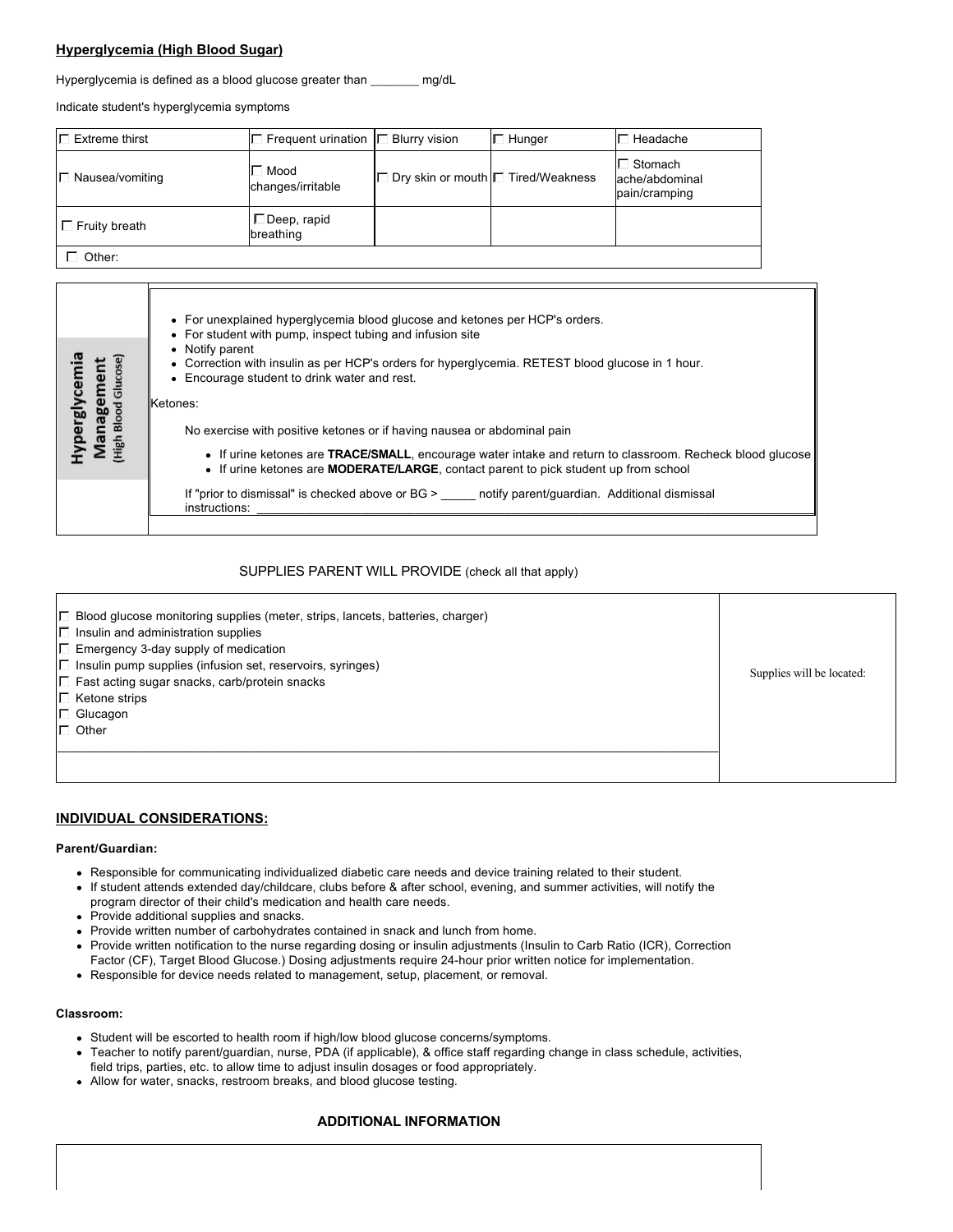# **Hyperglycemia (High Blood Sugar)**

Hyperglycemia is defined as a blood glucose greater than \_\_\_\_\_\_\_\_ mg/dL

Indicate student's hyperglycemia symptoms

| $\Box$ Extreme thirst  | Frequent urination $ \Box$ Blurry vision | Hunger                                        | Headache                                                  |
|------------------------|------------------------------------------|-----------------------------------------------|-----------------------------------------------------------|
| $\Box$ Nausea/vomiting | $\Box$ Mood<br>changes/irritable         | Dry skin or mouth <del>D</del> Tired/Weakness | I <sup>⊟</sup> Stomach<br>ache/abdominal<br>pain/cramping |
| $\Box$ Fruity breath   | □ Deep, rapid<br>breathing               |                                               |                                                           |

Other:

| lycem<br>mer<br>릉<br>ᇛ<br><b>per</b> | • For unexplained hyperglycemia blood glucose and ketones per HCP's orders.<br>• For student with pump, inspect tubing and infusion site<br>• Notify parent<br>• Correction with insulin as per HCP's orders for hyperglycemia. RETEST blood glucose in 1 hour.<br>• Encourage student to drink water and rest.<br>Ketones:<br>No exercise with positive ketones or if having nausea or abdominal pain<br>• If urine ketones are TRACE/SMALL, encourage water intake and return to classroom. Recheck blood glucose<br>• If urine ketones are <b>MODERATE/LARGE</b> , contact parent to pick student up from school |
|--------------------------------------|---------------------------------------------------------------------------------------------------------------------------------------------------------------------------------------------------------------------------------------------------------------------------------------------------------------------------------------------------------------------------------------------------------------------------------------------------------------------------------------------------------------------------------------------------------------------------------------------------------------------|
|                                      | If "prior to dismissal" is checked above or $BG >$ notify parent/quardian. Additional dismissal<br>instructions:                                                                                                                                                                                                                                                                                                                                                                                                                                                                                                    |

### SUPPLIES PARENT WILL PROVIDE (check all that apply)

| Blood glucose monitoring supplies (meter, strips, lancets, batteries, charger)<br>$\Box$ Insulin and administration supplies<br>$\Box$ Emergency 3-day supply of medication<br>□ Insulin pump supplies (infusion set, reservoirs, syringes)<br>□ Fast acting sugar snacks, carb/protein snacks<br>$\Box$ Ketone strips<br>$\Box$ Glucagon<br>$\Box$ Other | Supplies will be located: |
|-----------------------------------------------------------------------------------------------------------------------------------------------------------------------------------------------------------------------------------------------------------------------------------------------------------------------------------------------------------|---------------------------|
|                                                                                                                                                                                                                                                                                                                                                           |                           |

## **INDIVIDUAL CONSIDERATIONS:**

#### **Parent/Guardian:**

- Responsible for communicating individualized diabetic care needs and device training related to their student.
- If student attends extended day/childcare, clubs before & after school, evening, and summer activities, will notify the
- program director of their child's medication and health care needs.
- Provide additional supplies and snacks.
- Provide written number of carbohydrates contained in snack and lunch from home.
- Provide written notification to the nurse regarding dosing or insulin adjustments (Insulin to Carb Ratio (ICR), Correction Factor (CF), Target Blood Glucose.) Dosing adjustments require 24-hour prior written notice for implementation.
- Responsible for device needs related to management, setup, placement, or removal.

#### **Classroom:**

- Student will be escorted to health room if high/low blood glucose concerns/symptoms.
- Teacher to notify parent/guardian, nurse, PDA (if applicable), & office staff regarding change in class schedule, activities,  $\bullet$ field trips, parties, etc. to allow time to adjust insulin dosages or food appropriately.
- Allow for water, snacks, restroom breaks, and blood glucose testing.

## **ADDITIONAL INFORMATION**